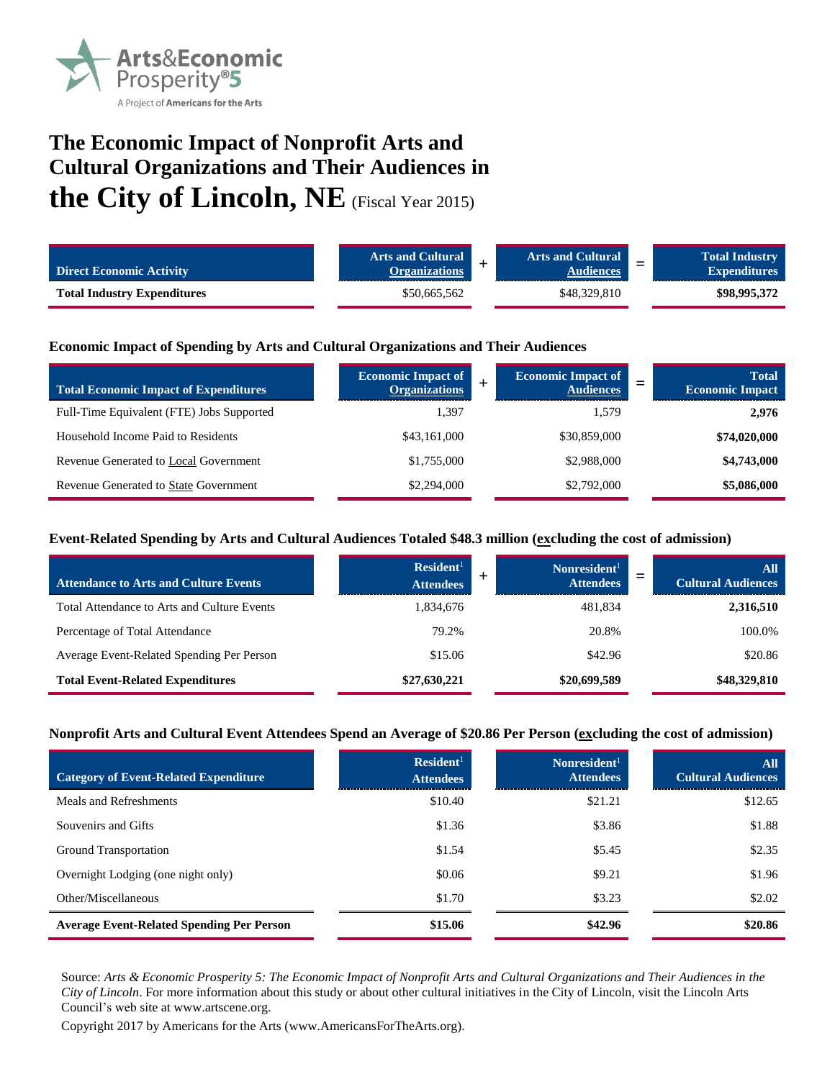

# **The Economic Impact of Nonprofit Arts and Cultural Organizations and Their Audiences in the City of Lincoln, NE** (Fiscal Year 2015)

| <b>Direct Economic Activity</b>    | <b>Arts and Cultural</b><br><b>Organizations</b> | <b>Arts and Cultural</b><br>udiences<br><b>Contract Contract Contract</b> | <b>Total Industry</b><br>$\overline{\phantom{0}}$<br><b>Expenditures</b> |
|------------------------------------|--------------------------------------------------|---------------------------------------------------------------------------|--------------------------------------------------------------------------|
| <b>Total Industry Expenditures</b> | \$50,665,562                                     | \$48,329,810                                                              | \$98,995,372                                                             |

## **Economic Impact of Spending by Arts and Cultural Organizations and Their Audiences**

| <b>Total Economic Impact of Expenditures</b> | <b>Economic Impact of</b><br><b>Organizations</b> | <b>Economic Impact of</b><br><b>Audiences</b> | <b>Total</b><br><b>Economic Impact</b> |
|----------------------------------------------|---------------------------------------------------|-----------------------------------------------|----------------------------------------|
| Full-Time Equivalent (FTE) Jobs Supported    | 1,397                                             | 1.579                                         | 2,976                                  |
| Household Income Paid to Residents           | \$43,161,000                                      | \$30,859,000                                  | \$74,020,000                           |
| Revenue Generated to Local Government        | \$1,755,000                                       | \$2,988,000                                   | \$4,743,000                            |
| <b>Revenue Generated to State Government</b> | \$2,294,000                                       | \$2,792,000                                   | \$5,086,000                            |

## **Event-Related Spending by Arts and Cultural Audiences Totaled \$48.3 million (excluding the cost of admission)**

| <b>Attendance to Arts and Culture Events</b> | Resident <sup>1</sup><br><b>Attendees</b> | Nonresident <sup>1</sup><br><b>Attendees</b> | All<br><b>Cultural Audiences</b> |
|----------------------------------------------|-------------------------------------------|----------------------------------------------|----------------------------------|
| Total Attendance to Arts and Culture Events  | 1,834,676                                 | 481,834                                      | 2,316,510                        |
| Percentage of Total Attendance               | 79.2%                                     | 20.8%                                        | 100.0%                           |
| Average Event-Related Spending Per Person    | \$15.06                                   | \$42.96                                      | \$20.86                          |
| <b>Total Event-Related Expenditures</b>      | \$27,630,221                              | \$20,699,589                                 | \$48,329,810                     |

#### **Nonprofit Arts and Cultural Event Attendees Spend an Average of \$20.86 Per Person (excluding the cost of admission)**

| <b>Category of Event-Related Expenditure</b>     | Resident <sup>1</sup><br><b>Attendees</b> | Nonresident <sup>1</sup><br><b>Attendees</b> | All<br><b>Cultural Audiences</b> |
|--------------------------------------------------|-------------------------------------------|----------------------------------------------|----------------------------------|
| Meals and Refreshments                           | \$10.40                                   | \$21.21                                      | \$12.65                          |
| Souvenirs and Gifts                              | \$1.36                                    | \$3.86                                       | \$1.88                           |
| Ground Transportation                            | \$1.54                                    | \$5.45                                       | \$2.35                           |
| Overnight Lodging (one night only)               | \$0.06                                    | \$9.21                                       | \$1.96                           |
| Other/Miscellaneous                              | \$1.70                                    | \$3.23                                       | \$2.02                           |
| <b>Average Event-Related Spending Per Person</b> | \$15.06                                   | \$42.96                                      | \$20.86                          |

Source: *Arts & Economic Prosperity 5: The Economic Impact of Nonprofit Arts and Cultural Organizations and Their Audiences in the City of Lincoln*. For more information about this study or about other cultural initiatives in the City of Lincoln, visit the Lincoln Arts Council's web site at www.artscene.org.

Copyright 2017 by Americans for the Arts (www.AmericansForTheArts.org).